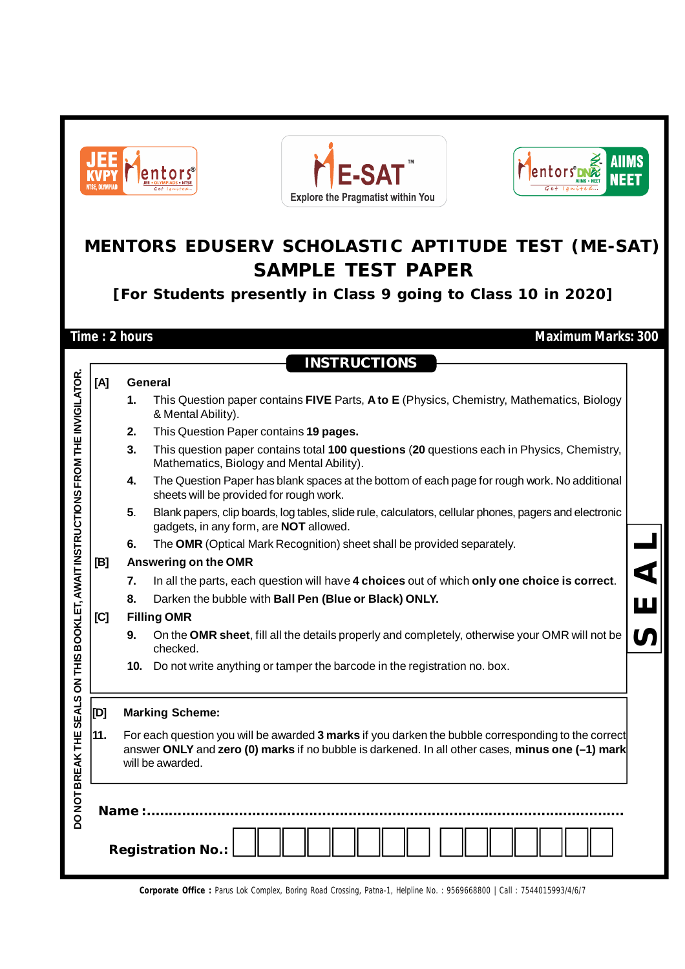|                                                       | E-SA<br>lentors <sup>®</sup><br>ITSE. NIVMPIA<br><b>Explore the Pragmatist within You</b>                                                      |                                                                                                                                         |                                                                                                                                                  |  |  |  |  |  |  |  |  |
|-------------------------------------------------------|------------------------------------------------------------------------------------------------------------------------------------------------|-----------------------------------------------------------------------------------------------------------------------------------------|--------------------------------------------------------------------------------------------------------------------------------------------------|--|--|--|--|--|--|--|--|
|                                                       | MENTORS EDUSERV SCHOLASTIC APTITUDE TEST (ME-SAT)<br><b>SAMPLE TEST PAPER</b><br>[For Students presently in Class 9 going to Class 10 in 2020] |                                                                                                                                         |                                                                                                                                                  |  |  |  |  |  |  |  |  |
|                                                       |                                                                                                                                                | Time: 2 hours                                                                                                                           | <b>Maximum Marks: 300</b>                                                                                                                        |  |  |  |  |  |  |  |  |
|                                                       |                                                                                                                                                |                                                                                                                                         |                                                                                                                                                  |  |  |  |  |  |  |  |  |
|                                                       |                                                                                                                                                |                                                                                                                                         | <b>INSTRUCTIONS</b>                                                                                                                              |  |  |  |  |  |  |  |  |
|                                                       | [A]                                                                                                                                            |                                                                                                                                         | General                                                                                                                                          |  |  |  |  |  |  |  |  |
|                                                       |                                                                                                                                                | 1.                                                                                                                                      | This Question paper contains FIVE Parts, A to E (Physics, Chemistry, Mathematics, Biology<br>& Mental Ability).                                  |  |  |  |  |  |  |  |  |
|                                                       |                                                                                                                                                | 2.                                                                                                                                      | This Question Paper contains 19 pages.                                                                                                           |  |  |  |  |  |  |  |  |
|                                                       |                                                                                                                                                | 3.                                                                                                                                      | This question paper contains total 100 questions (20 questions each in Physics, Chemistry,<br>Mathematics, Biology and Mental Ability).          |  |  |  |  |  |  |  |  |
| <b>(LET, AWAIT INSTRUCTIONS FROM THE INVIGILATOR.</b> |                                                                                                                                                | The Question Paper has blank spaces at the bottom of each page for rough work. No additional<br>sheets will be provided for rough work. |                                                                                                                                                  |  |  |  |  |  |  |  |  |
|                                                       |                                                                                                                                                | 5.                                                                                                                                      | Blank papers, clip boards, log tables, slide rule, calculators, cellular phones, pagers and electronic<br>gadgets, in any form, are NOT allowed. |  |  |  |  |  |  |  |  |
|                                                       |                                                                                                                                                | The OMR (Optical Mark Recognition) sheet shall be provided separately.<br>6.                                                            |                                                                                                                                                  |  |  |  |  |  |  |  |  |
|                                                       | [B]                                                                                                                                            |                                                                                                                                         | Answering on the OMR                                                                                                                             |  |  |  |  |  |  |  |  |
|                                                       |                                                                                                                                                | 7.                                                                                                                                      | In all the parts, each question will have 4 choices out of which only one choice is correct.                                                     |  |  |  |  |  |  |  |  |
|                                                       |                                                                                                                                                | 8.                                                                                                                                      | Darken the bubble with Ball Pen (Blue or Black) ONLY.                                                                                            |  |  |  |  |  |  |  |  |
|                                                       | [C]                                                                                                                                            |                                                                                                                                         | <b>Filling OMR</b>                                                                                                                               |  |  |  |  |  |  |  |  |
|                                                       |                                                                                                                                                | 9.                                                                                                                                      | On the OMR sheet, fill all the details properly and completely, otherwise your OMR will not be<br>checked.                                       |  |  |  |  |  |  |  |  |
|                                                       |                                                                                                                                                | 10.                                                                                                                                     | Do not write anything or tamper the barcode in the registration no. box.                                                                         |  |  |  |  |  |  |  |  |
|                                                       | [D]                                                                                                                                            |                                                                                                                                         | <b>Marking Scheme:</b>                                                                                                                           |  |  |  |  |  |  |  |  |
|                                                       | 11.                                                                                                                                            |                                                                                                                                         | For each question you will be awarded 3 marks if you darken the bubble corresponding to the correct                                              |  |  |  |  |  |  |  |  |
|                                                       |                                                                                                                                                | answer ONLY and zero (0) marks if no bubble is darkened. In all other cases, minus one (-1) mark<br>will be awarded.                    |                                                                                                                                                  |  |  |  |  |  |  |  |  |
| DO NOT BREAK THE SEALS ON THIS BOO<br>Name $\ldots$   |                                                                                                                                                |                                                                                                                                         |                                                                                                                                                  |  |  |  |  |  |  |  |  |
|                                                       |                                                                                                                                                | <b>Registration No.:</b>                                                                                                                |                                                                                                                                                  |  |  |  |  |  |  |  |  |

**Corporate Office :** Parus Lok Complex, Boring Road Crossing, Patna-1, Helpline No. : 9569668800 | Call : 7544015993/4/6/7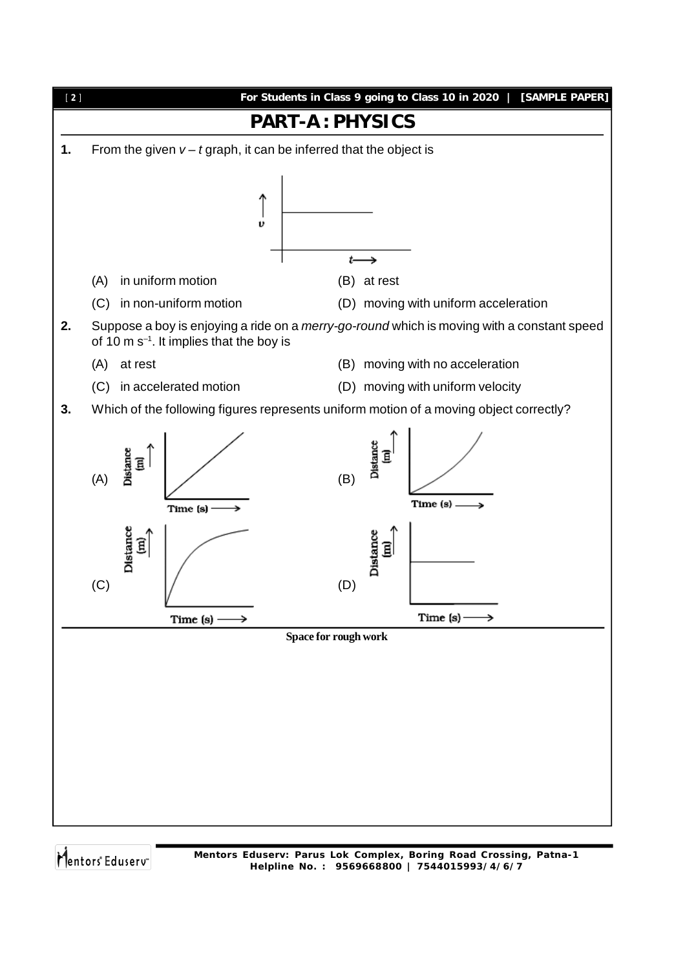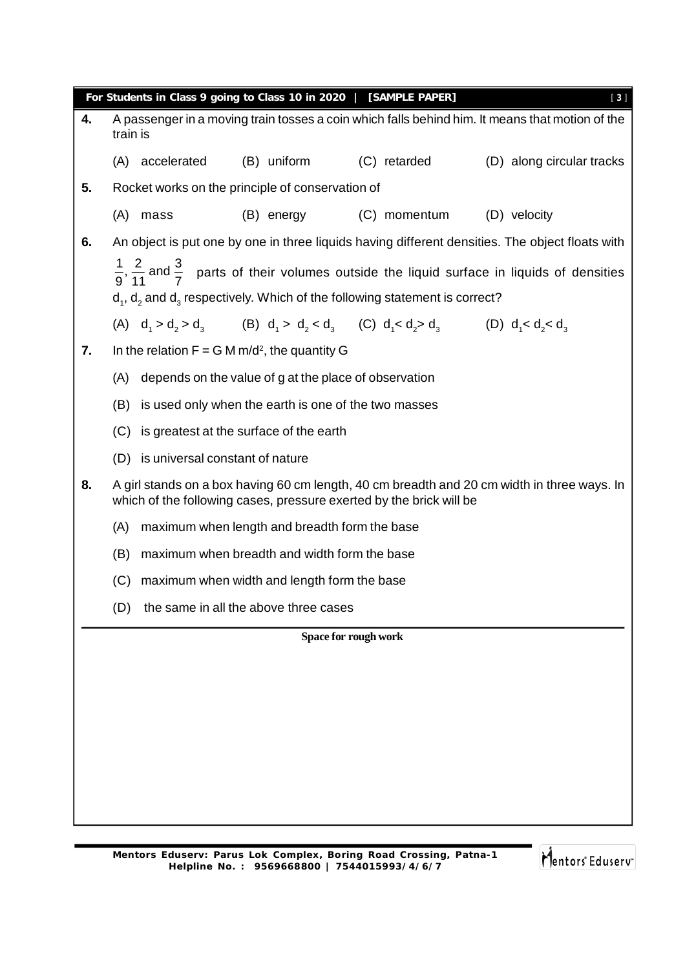|    |          |                                     |                                                       | For Students in Class 9 going to Class 10 in 2020   [SAMPLE PAPER]                      | [3]                                                                                                                        |
|----|----------|-------------------------------------|-------------------------------------------------------|-----------------------------------------------------------------------------------------|----------------------------------------------------------------------------------------------------------------------------|
| 4. | train is |                                     |                                                       |                                                                                         | A passenger in a moving train tosses a coin which falls behind him. It means that motion of the                            |
|    |          | (A) accelerated                     | (B) uniform                                           | (C) retarded                                                                            | (D) along circular tracks                                                                                                  |
| 5. |          |                                     | Rocket works on the principle of conservation of      |                                                                                         |                                                                                                                            |
|    | (A)      | mass                                |                                                       | (B) energy (C) momentum                                                                 | (D) velocity                                                                                                               |
| 6. |          |                                     |                                                       |                                                                                         | An object is put one by one in three liquids having different densities. The object floats with                            |
|    |          |                                     |                                                       | $d_1$ , $d_2$ and $d_3$ respectively. Which of the following statement is correct?      | $\frac{1}{9}$ , $\frac{2}{11}$ and $\frac{3}{7}$ parts of their volumes outside the liquid surface in liquids of densities |
|    |          |                                     |                                                       | (A) $d_1 > d_2 > d_3$ (B) $d_1 > d_2 < d_3$ (C) $d_1 < d_2 > d_3$ (D) $d_1 < d_2 < d_3$ |                                                                                                                            |
| 7. |          |                                     | In the relation $F = G M m/d^2$ , the quantity G      |                                                                                         |                                                                                                                            |
|    | (A)      |                                     | depends on the value of g at the place of observation |                                                                                         |                                                                                                                            |
|    | (B)      |                                     | is used only when the earth is one of the two masses  |                                                                                         |                                                                                                                            |
|    | (C)      |                                     | is greatest at the surface of the earth               |                                                                                         |                                                                                                                            |
|    |          | (D) is universal constant of nature |                                                       |                                                                                         |                                                                                                                            |
| 8. |          |                                     |                                                       | which of the following cases, pressure exerted by the brick will be                     | A girl stands on a box having 60 cm length, 40 cm breadth and 20 cm width in three ways. In                                |
|    | (A)      |                                     | maximum when length and breadth form the base         |                                                                                         |                                                                                                                            |
|    | (B)      |                                     | maximum when breadth and width form the base          |                                                                                         |                                                                                                                            |
|    | (C)      |                                     | maximum when width and length form the base           |                                                                                         |                                                                                                                            |
|    | (D)      |                                     | the same in all the above three cases                 |                                                                                         |                                                                                                                            |
|    |          |                                     |                                                       | Space for rough work                                                                    |                                                                                                                            |
|    |          |                                     |                                                       |                                                                                         |                                                                                                                            |
|    |          |                                     |                                                       |                                                                                         |                                                                                                                            |
|    |          |                                     |                                                       |                                                                                         |                                                                                                                            |
|    |          |                                     |                                                       |                                                                                         |                                                                                                                            |
|    |          |                                     |                                                       |                                                                                         |                                                                                                                            |
|    |          |                                     |                                                       |                                                                                         |                                                                                                                            |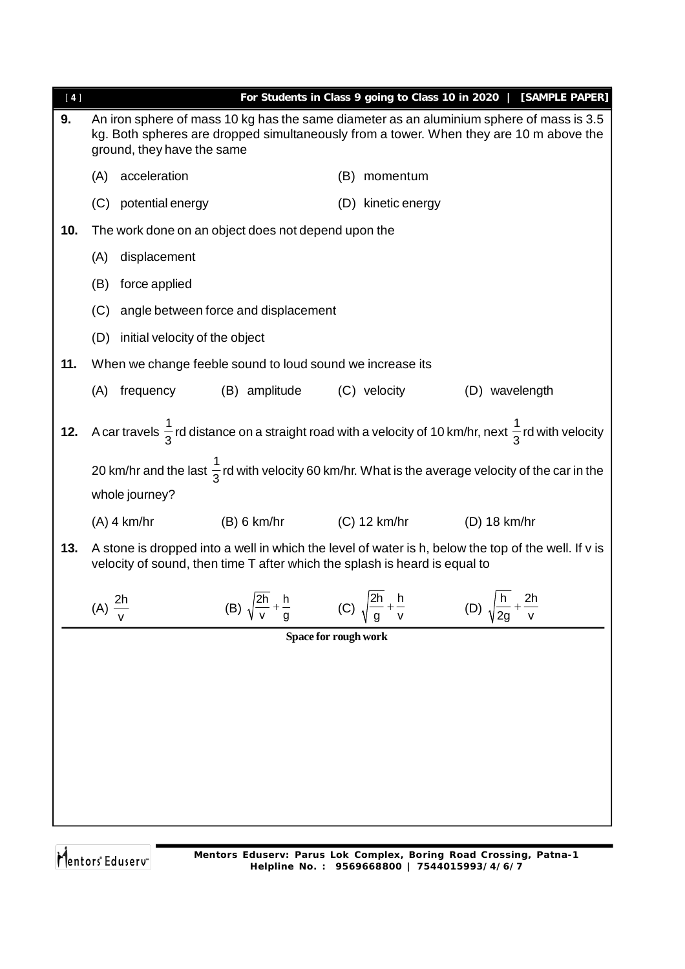| $[4]$ |                    |                                |                                                                            |     |                    | For Students in Class 9 going to Class 10 in 2020   [SAMPLE PAPER]                                                                                                                 |
|-------|--------------------|--------------------------------|----------------------------------------------------------------------------|-----|--------------------|------------------------------------------------------------------------------------------------------------------------------------------------------------------------------------|
| 9.    |                    | ground, they have the same     |                                                                            |     |                    | An iron sphere of mass 10 kg has the same diameter as an aluminium sphere of mass is 3.5<br>kg. Both spheres are dropped simultaneously from a tower. When they are 10 m above the |
|       | (A)                | acceleration                   |                                                                            | (B) | momentum           |                                                                                                                                                                                    |
|       | (C)                | potential energy               |                                                                            |     | (D) kinetic energy |                                                                                                                                                                                    |
| 10.   |                    |                                | The work done on an object does not depend upon the                        |     |                    |                                                                                                                                                                                    |
|       | (A)                | displacement                   |                                                                            |     |                    |                                                                                                                                                                                    |
|       | (B)                | force applied                  |                                                                            |     |                    |                                                                                                                                                                                    |
|       | (C)                |                                | angle between force and displacement                                       |     |                    |                                                                                                                                                                                    |
|       | (D)                | initial velocity of the object |                                                                            |     |                    |                                                                                                                                                                                    |
| 11.   |                    |                                | When we change feeble sound to loud sound we increase its                  |     |                    |                                                                                                                                                                                    |
|       | (A)                | frequency                      | (B) amplitude                                                              |     | (C) velocity       | (D) wavelength                                                                                                                                                                     |
| 12.   |                    |                                |                                                                            |     |                    | A car travels $\frac{1}{3}$ rd distance on a straight road with a velocity of 10 km/hr, next $\frac{1}{3}$ rd with velocity                                                        |
|       |                    |                                |                                                                            |     |                    | 20 km/hr and the last $\frac{1}{3}$ rd with velocity 60 km/hr. What is the average velocity of the car in the                                                                      |
|       |                    | whole journey?                 |                                                                            |     |                    |                                                                                                                                                                                    |
|       |                    | $(A)$ 4 km/hr                  | (B) 6 km/hr                                                                |     | $(C)$ 12 km/hr     | (D) 18 km/hr                                                                                                                                                                       |
| 13.   |                    |                                | velocity of sound, then time T after which the splash is heard is equal to |     |                    | A stone is dropped into a well in which the level of water is h, below the top of the well. If v is                                                                                |
|       | $(A) \frac{2h}{v}$ |                                | $\sqrt{2h}$ h<br>(B)                                                       | (C) | $\sqrt{2h}$ h      | h.<br>2h<br>2g                                                                                                                                                                     |
|       |                    |                                | Space for rough work                                                       |     |                    |                                                                                                                                                                                    |
|       |                    |                                |                                                                            |     |                    |                                                                                                                                                                                    |
|       |                    |                                |                                                                            |     |                    |                                                                                                                                                                                    |
|       |                    |                                |                                                                            |     |                    |                                                                                                                                                                                    |
|       |                    |                                |                                                                            |     |                    |                                                                                                                                                                                    |
|       |                    |                                |                                                                            |     |                    |                                                                                                                                                                                    |
|       |                    |                                |                                                                            |     |                    |                                                                                                                                                                                    |
|       |                    |                                |                                                                            |     |                    |                                                                                                                                                                                    |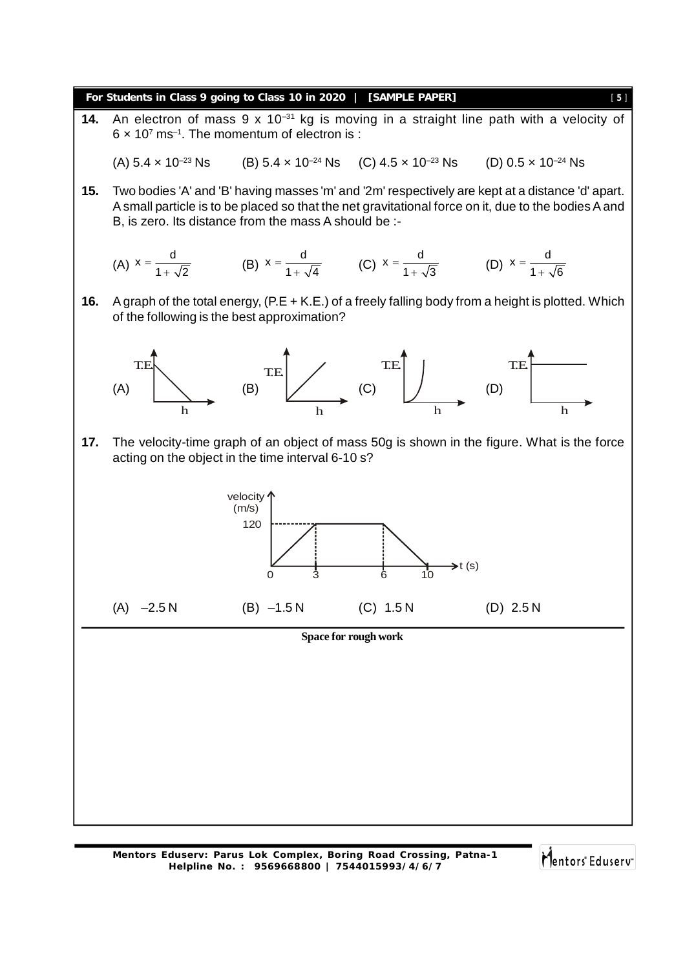

**14.** An electron of mass 9 x 10–31 kg is moving in a straight line path with a velocity of  $6 \times 10^7$  ms<sup>-1</sup>. The momentum of electron is :

(A)  $5.4 \times 10^{-23}$  Ns (B)  $5.4 \times 10^{-24}$  Ns (C)  $4.5 \times 10^{-23}$  Ns (D)  $0.5 \times 10^{-24}$  Ns

**15.** Two bodies 'A' and 'B' having masses 'm' and '2m' respectively are kept at a distance 'd' apart. A small particle is to be placed so that the net gravitational force on it, due to the bodies A and B, is zero. Its distance from the mass A should be :-

(A) 
$$
x = \frac{d}{1 + \sqrt{2}}
$$
 (B)  $x = \frac{d}{1 + \sqrt{4}}$  (C)  $x = \frac{d}{1 + \sqrt{3}}$  (D)  $x = \frac{d}{1 + \sqrt{6}}$ 

**16.** A graph of the total energy, (P.E + K.E.) of a freely falling body from a height is plotted. Which of the following is the best approximation?



**17.** The velocity-time graph of an object of mass 50g is shown in the figure. What is the force acting on the object in the time interval 6-10 s?



## **Space for rough work**

**Mentors Eduserv: Parus Lok Complex, Boring Road Crossing, Patna-1 Helpline No. : 9569668800 | 7544015993/4/6/7**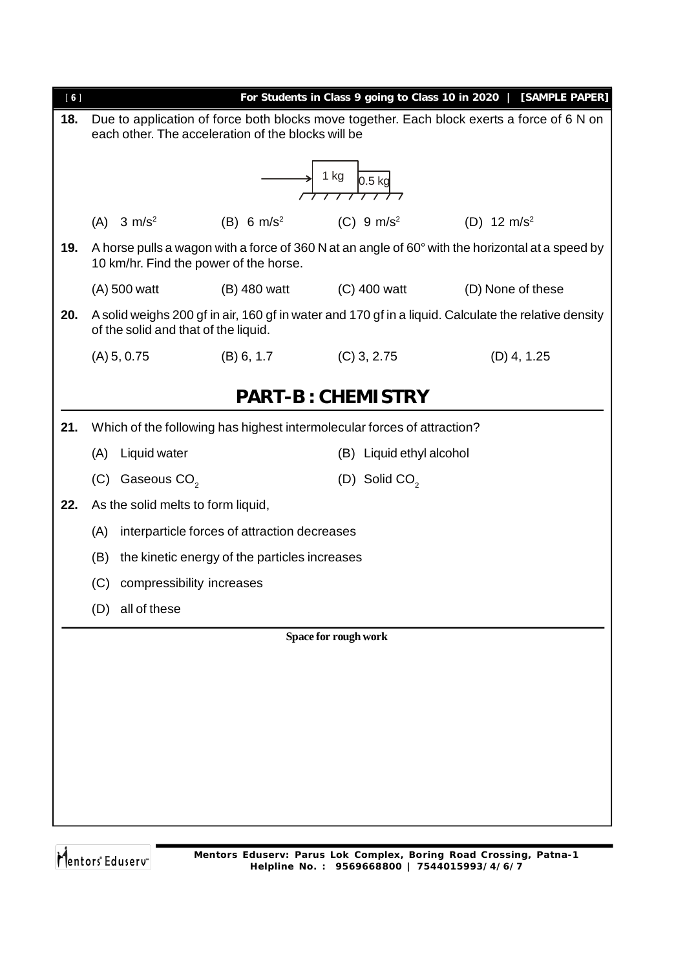| [6] |                                                    |                                               |                                                                         | For Students in Class 9 going to Class 10 in 2020   [SAMPLE PAPER]                                   |  |  |  |  |
|-----|----------------------------------------------------|-----------------------------------------------|-------------------------------------------------------------------------|------------------------------------------------------------------------------------------------------|--|--|--|--|
| 18. | each other. The acceleration of the blocks will be |                                               |                                                                         | Due to application of force both blocks move together. Each block exerts a force of 6 N on           |  |  |  |  |
|     | 1 kg<br>$0.5$ kg                                   |                                               |                                                                         |                                                                                                      |  |  |  |  |
|     | $(A)$ 3 m/s <sup>2</sup>                           | (B) 6 $m/s^2$                                 | $(C) 9 m/s^2$                                                           | (D) 12 $m/s^2$                                                                                       |  |  |  |  |
| 19. | 10 km/hr. Find the power of the horse.             |                                               |                                                                         | A horse pulls a wagon with a force of 360 N at an angle of 60° with the horizontal at a speed by     |  |  |  |  |
|     | (A) 500 watt                                       | (B) 480 watt                                  | (C) 400 watt                                                            | (D) None of these                                                                                    |  |  |  |  |
| 20. | of the solid and that of the liquid.               |                                               |                                                                         | A solid weighs 200 gf in air, 160 gf in water and 170 gf in a liquid. Calculate the relative density |  |  |  |  |
|     | (A) 5, 0.75                                        | (B) 6, 1.7                                    | $(C)$ 3, 2.75                                                           | $(D)$ 4, 1.25                                                                                        |  |  |  |  |
|     |                                                    |                                               | <b>PART-B: CHEMISTRY</b>                                                |                                                                                                      |  |  |  |  |
| 21. |                                                    |                                               | Which of the following has highest intermolecular forces of attraction? |                                                                                                      |  |  |  |  |
|     | (A) Liquid water                                   |                                               | (B) Liquid ethyl alcohol                                                |                                                                                                      |  |  |  |  |
|     | (C) Gaseous $CO2$                                  |                                               | (D) Solid CO <sub>2</sub>                                               |                                                                                                      |  |  |  |  |
| 22. | As the solid melts to form liquid,                 |                                               |                                                                         |                                                                                                      |  |  |  |  |
|     | (A)                                                | interparticle forces of attraction decreases  |                                                                         |                                                                                                      |  |  |  |  |
|     | (B)                                                | the kinetic energy of the particles increases |                                                                         |                                                                                                      |  |  |  |  |
|     | compressibility increases<br>(C)                   |                                               |                                                                         |                                                                                                      |  |  |  |  |
|     | (D) all of these                                   |                                               |                                                                         |                                                                                                      |  |  |  |  |
|     |                                                    |                                               | Space for rough work                                                    |                                                                                                      |  |  |  |  |
|     |                                                    |                                               |                                                                         |                                                                                                      |  |  |  |  |
|     |                                                    |                                               |                                                                         |                                                                                                      |  |  |  |  |
|     |                                                    |                                               |                                                                         |                                                                                                      |  |  |  |  |
|     |                                                    |                                               |                                                                         |                                                                                                      |  |  |  |  |
|     |                                                    |                                               |                                                                         |                                                                                                      |  |  |  |  |
|     |                                                    |                                               |                                                                         |                                                                                                      |  |  |  |  |
|     |                                                    |                                               |                                                                         |                                                                                                      |  |  |  |  |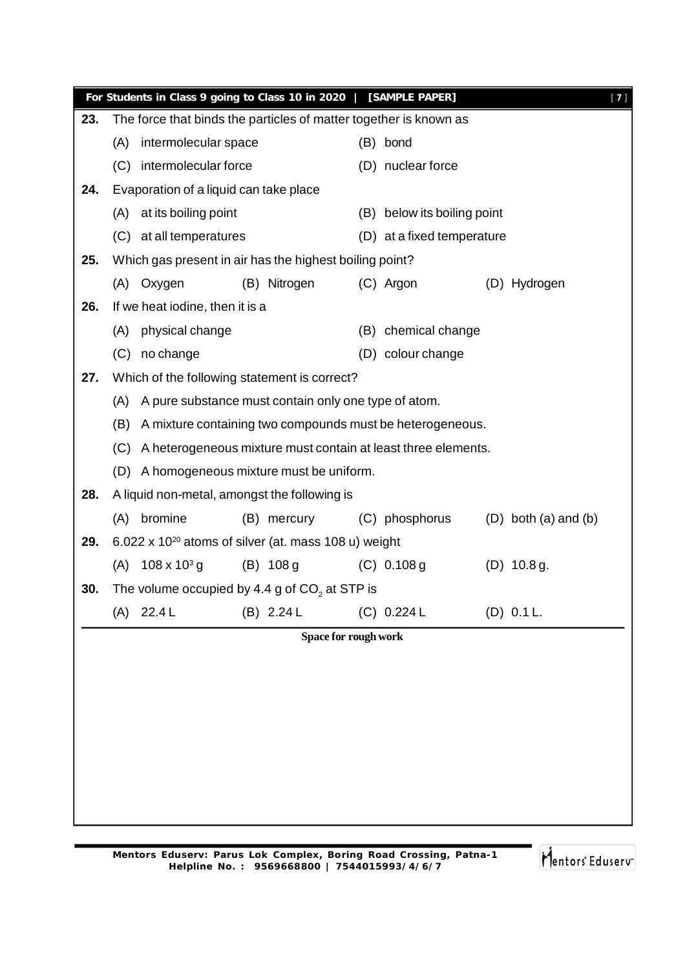|     |                                                                      |                                        | For Students in Class 9 going to Class 10 in 2020                 |                            | [SAMPLE PAPER]                 |  |                            | $[7]$ |  |
|-----|----------------------------------------------------------------------|----------------------------------------|-------------------------------------------------------------------|----------------------------|--------------------------------|--|----------------------------|-------|--|
| 23. |                                                                      |                                        | The force that binds the particles of matter together is known as |                            |                                |  |                            |       |  |
|     | (A)                                                                  | intermolecular space                   |                                                                   |                            | (B) bond                       |  |                            |       |  |
|     | (C)                                                                  | intermolecular force                   |                                                                   |                            | (D) nuclear force              |  |                            |       |  |
| 24. |                                                                      | Evaporation of a liquid can take place |                                                                   |                            |                                |  |                            |       |  |
|     | (A)                                                                  | at its boiling point                   |                                                                   |                            | below its boiling point<br>(B) |  |                            |       |  |
|     |                                                                      | (C) at all temperatures                |                                                                   | (D) at a fixed temperature |                                |  |                            |       |  |
| 25. | Which gas present in air has the highest boiling point?              |                                        |                                                                   |                            |                                |  |                            |       |  |
|     | (A)                                                                  | Oxygen                                 | (B) Nitrogen                                                      |                            | (C) Argon                      |  | (D) Hydrogen               |       |  |
| 26. |                                                                      | If we heat iodine, then it is a        |                                                                   |                            |                                |  |                            |       |  |
|     | (A)                                                                  | physical change                        |                                                                   |                            | (B) chemical change            |  |                            |       |  |
|     | (C)                                                                  | no change                              |                                                                   |                            | (D) colour change              |  |                            |       |  |
| 27. |                                                                      |                                        | Which of the following statement is correct?                      |                            |                                |  |                            |       |  |
|     | A pure substance must contain only one type of atom.<br>(A)          |                                        |                                                                   |                            |                                |  |                            |       |  |
|     | (B)<br>A mixture containing two compounds must be heterogeneous.     |                                        |                                                                   |                            |                                |  |                            |       |  |
|     | A heterogeneous mixture must contain at least three elements.<br>(C) |                                        |                                                                   |                            |                                |  |                            |       |  |
|     | (D)                                                                  |                                        | A homogeneous mixture must be uniform.                            |                            |                                |  |                            |       |  |
| 28. |                                                                      |                                        | A liquid non-metal, amongst the following is                      |                            |                                |  |                            |       |  |
|     | (A)                                                                  | bromine                                | (B) mercury                                                       |                            | (C) phosphorus                 |  | $(D)$ both $(a)$ and $(b)$ |       |  |
| 29. |                                                                      |                                        | 6.022 x 10 <sup>20</sup> atoms of silver (at. mass 108 u) weight  |                            |                                |  |                            |       |  |
|     | (A)                                                                  | $108 \times 10^{3}$ g                  | $(B)$ 108 g                                                       |                            | $(C)$ 0.108 g                  |  | $(D)$ 10.8 g.              |       |  |
| 30. |                                                                      |                                        | The volume occupied by 4.4 g of $CO2$ at STP is                   |                            |                                |  |                            |       |  |
|     |                                                                      | $(A)$ 22.4 L                           | (B) 2.24 L                                                        |                            | (C) 0.224 L                    |  | $(D)$ 0.1 L.               |       |  |
|     |                                                                      |                                        | Space for rough work                                              |                            |                                |  |                            |       |  |
|     |                                                                      |                                        |                                                                   |                            |                                |  |                            |       |  |
|     |                                                                      |                                        |                                                                   |                            |                                |  |                            |       |  |
|     |                                                                      |                                        |                                                                   |                            |                                |  |                            |       |  |
|     |                                                                      |                                        |                                                                   |                            |                                |  |                            |       |  |
|     |                                                                      |                                        |                                                                   |                            |                                |  |                            |       |  |
|     |                                                                      |                                        |                                                                   |                            |                                |  |                            |       |  |
|     |                                                                      |                                        |                                                                   |                            |                                |  |                            |       |  |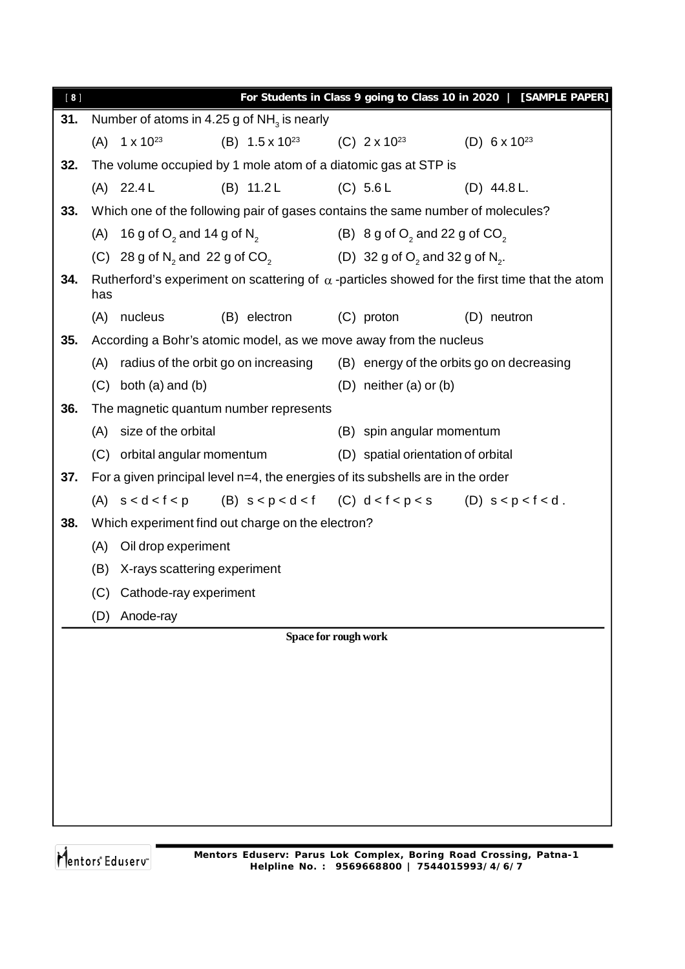| [8] |                            |                                                   | For Students in Class 9 going to Class 10 in 2020   [SAMPLE PAPER]                                             |               |
|-----|----------------------------|---------------------------------------------------|----------------------------------------------------------------------------------------------------------------|---------------|
| 31. |                            | Number of atoms in 4.25 g of $NH3$ is nearly      |                                                                                                                |               |
|     | $(A)$ 1 x 10 <sup>23</sup> |                                                   | (B) $1.5 \times 10^{23}$ (C) $2 \times 10^{23}$ (D) $6 \times 10^{23}$                                         |               |
| 32. |                            |                                                   | The volume occupied by 1 mole atom of a diatomic gas at STP is                                                 |               |
|     | $(A)$ 22.4 L               | $(B)$ 11.2 L                                      | (C) 5.6 L                                                                                                      | $(D)$ 44.8 L. |
| 33. |                            |                                                   | Which one of the following pair of gases contains the same number of molecules?                                |               |
|     |                            | (A) 16 g of $O_2$ and 14 g of $N_2$               | (B) $8 g of O2$ and 22 g of $CO2$                                                                              |               |
|     |                            |                                                   | (C) 28 g of N <sub>2</sub> and 22 g of CO <sub>2</sub> (D) 32 g of O <sub>2</sub> and 32 g of N <sub>2</sub> . |               |
| 34. | has                        |                                                   | Rutherford's experiment on scattering of $\alpha$ -particles showed for the first time that the atom           |               |
|     | nucleus<br>(A)             | (B) electron                                      | (C) proton                                                                                                     | (D) neutron   |
| 35. |                            |                                                   | According a Bohr's atomic model, as we move away from the nucleus                                              |               |
|     | (A)                        | radius of the orbit go on increasing              | (B) energy of the orbits go on decreasing                                                                      |               |
|     | $(C)$ both $(a)$ and $(b)$ |                                                   | $(D)$ neither $(a)$ or $(b)$                                                                                   |               |
| 36. |                            | The magnetic quantum number represents            |                                                                                                                |               |
|     | (A) size of the orbital    |                                                   | (B) spin angular momentum                                                                                      |               |
|     |                            | (C) orbital angular momentum                      | (D) spatial orientation of orbital                                                                             |               |
| 37. |                            |                                                   | For a given principal level $n=4$ , the energies of its subshells are in the order                             |               |
|     |                            |                                                   | (A) $s < d < f < p$ (B) $s < p < d < f$ (C) $d < f < p < s$ (D) $s < p < f < d$ .                              |               |
| 38. |                            | Which experiment find out charge on the electron? |                                                                                                                |               |
|     | (A)                        | Oil drop experiment                               |                                                                                                                |               |
|     | (B)                        | X-rays scattering experiment                      |                                                                                                                |               |
|     |                            | (C) Cathode-ray experiment                        |                                                                                                                |               |
|     | Anode-ray<br>(D)           |                                                   |                                                                                                                |               |
|     |                            |                                                   | Space for rough work                                                                                           |               |
|     |                            |                                                   |                                                                                                                |               |
|     |                            |                                                   |                                                                                                                |               |
|     |                            |                                                   |                                                                                                                |               |
|     |                            |                                                   |                                                                                                                |               |
|     |                            |                                                   |                                                                                                                |               |
|     |                            |                                                   |                                                                                                                |               |
|     |                            |                                                   |                                                                                                                |               |
|     |                            |                                                   |                                                                                                                |               |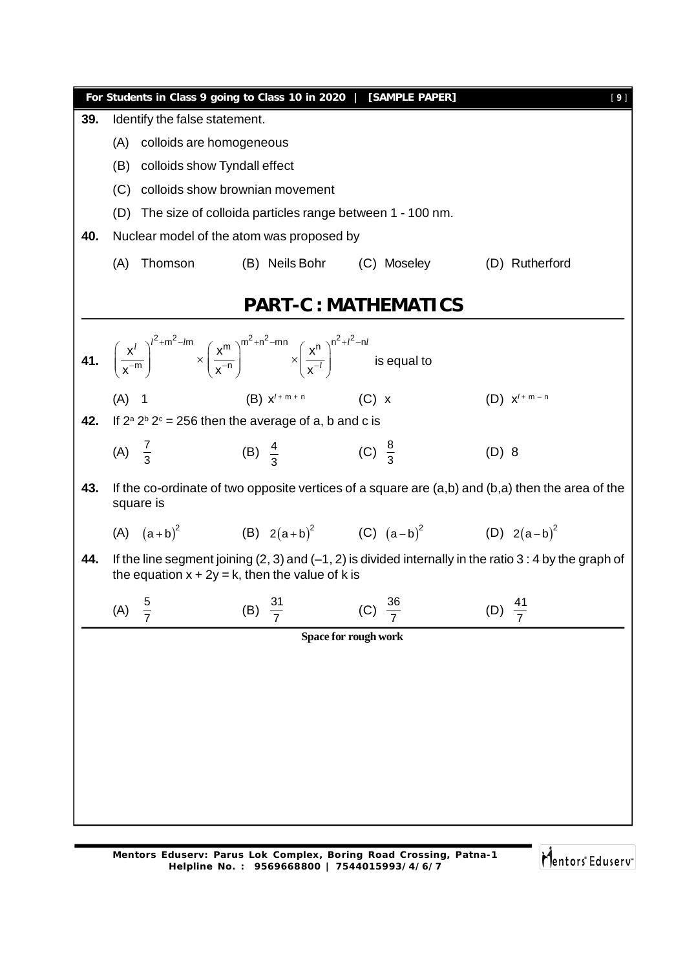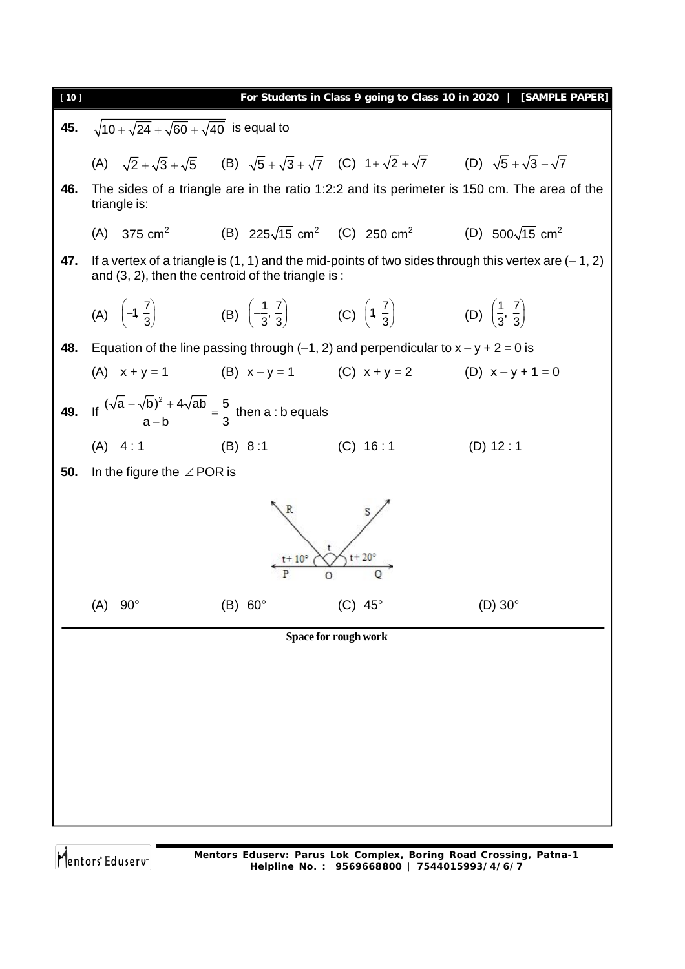

Mentors<sup>®</sup> Eduserv®

**Mentors Eduserv: Parus Lok Complex, Boring Road Crossing, Patna-1 Helpline No. : 9569668800 | 7544015993/4/6/7**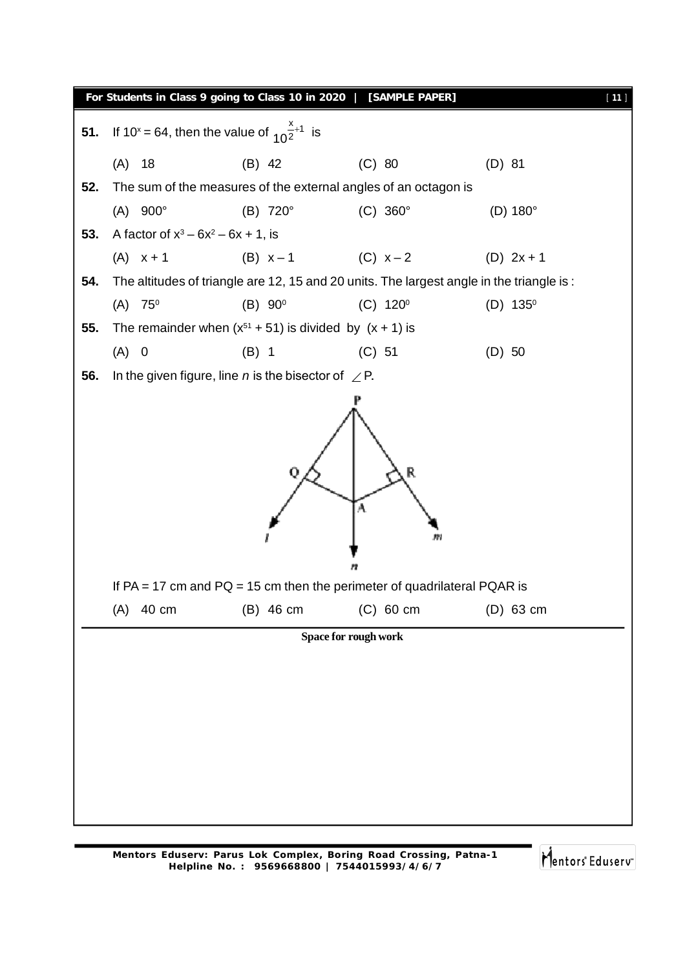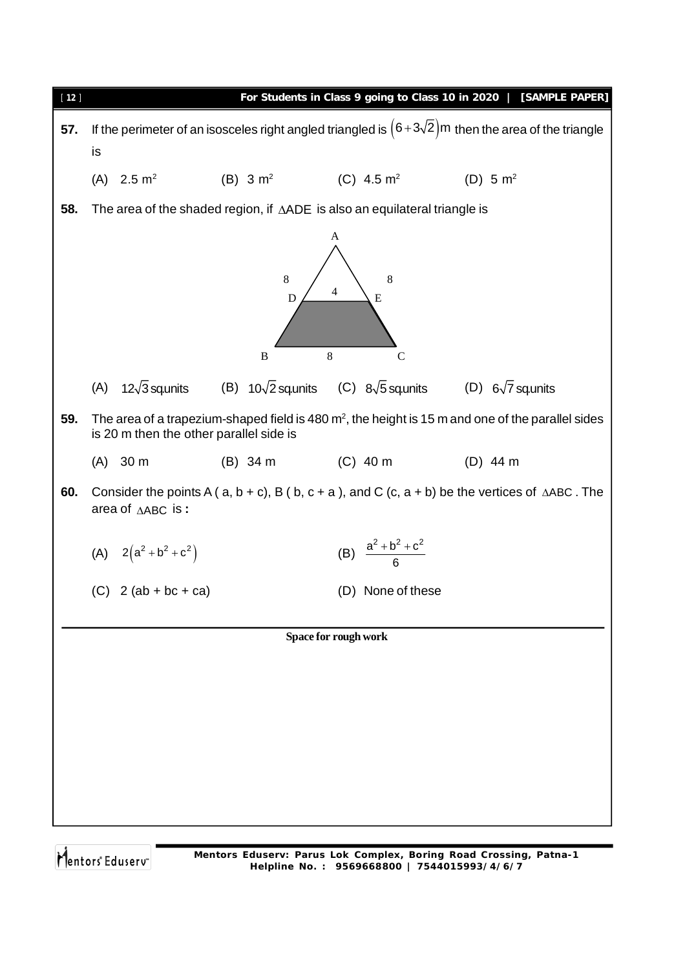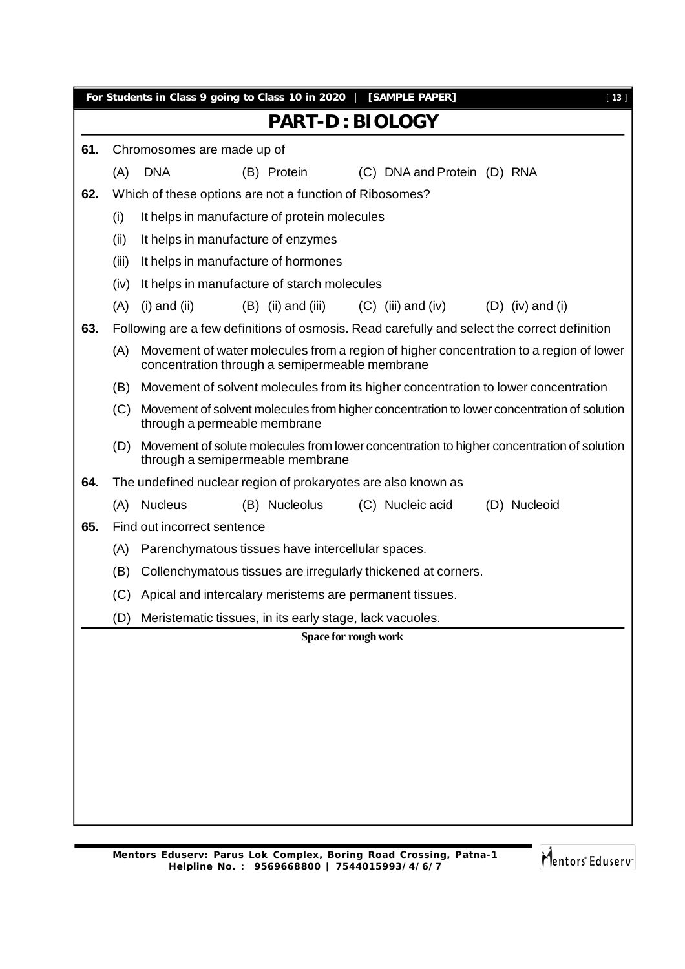|                                                                                                                                   |       | For Students in Class 9 going to Class 10 in 2020   [SAMPLE PAPER]<br>$[13]$                                                             |  |  |  |  |  |
|-----------------------------------------------------------------------------------------------------------------------------------|-------|------------------------------------------------------------------------------------------------------------------------------------------|--|--|--|--|--|
|                                                                                                                                   |       | <b>PART-D: BIOLOGY</b>                                                                                                                   |  |  |  |  |  |
| 61.                                                                                                                               |       | Chromosomes are made up of                                                                                                               |  |  |  |  |  |
|                                                                                                                                   | (A)   | <b>DNA</b><br>(C) DNA and Protein (D) RNA<br>(B) Protein                                                                                 |  |  |  |  |  |
| 62.                                                                                                                               |       | Which of these options are not a function of Ribosomes?                                                                                  |  |  |  |  |  |
|                                                                                                                                   | (i)   | It helps in manufacture of protein molecules                                                                                             |  |  |  |  |  |
|                                                                                                                                   | (ii)  | It helps in manufacture of enzymes                                                                                                       |  |  |  |  |  |
|                                                                                                                                   | (iii) | It helps in manufacture of hormones                                                                                                      |  |  |  |  |  |
|                                                                                                                                   | (iv)  | It helps in manufacture of starch molecules                                                                                              |  |  |  |  |  |
|                                                                                                                                   | (A)   | $(B)$ (ii) and (iii)<br>$(C)$ (iii) and (iv)<br>$(i)$ and $(ii)$<br>$(D)$ (iv) and (i)                                                   |  |  |  |  |  |
| 63.                                                                                                                               |       | Following are a few definitions of osmosis. Read carefully and select the correct definition                                             |  |  |  |  |  |
|                                                                                                                                   | (A)   | Movement of water molecules from a region of higher concentration to a region of lower<br>concentration through a semipermeable membrane |  |  |  |  |  |
|                                                                                                                                   | (B)   | Movement of solvent molecules from its higher concentration to lower concentration                                                       |  |  |  |  |  |
| Movement of solvent molecules from higher concentration to lower concentration of solution<br>(C)<br>through a permeable membrane |       |                                                                                                                                          |  |  |  |  |  |
|                                                                                                                                   | (D)   | Movement of solute molecules from lower concentration to higher concentration of solution<br>through a semipermeable membrane            |  |  |  |  |  |
| 64.                                                                                                                               |       | The undefined nuclear region of prokaryotes are also known as                                                                            |  |  |  |  |  |
|                                                                                                                                   | (A)   | <b>Nucleus</b><br>(B) Nucleolus<br>(C) Nucleic acid<br>(D) Nucleoid                                                                      |  |  |  |  |  |
| 65.                                                                                                                               |       | Find out incorrect sentence                                                                                                              |  |  |  |  |  |
|                                                                                                                                   | (A)   | Parenchymatous tissues have intercellular spaces.                                                                                        |  |  |  |  |  |
|                                                                                                                                   | (B)   | Collenchymatous tissues are irregularly thickened at corners.                                                                            |  |  |  |  |  |
|                                                                                                                                   | (C)   | Apical and intercalary meristems are permanent tissues.                                                                                  |  |  |  |  |  |
|                                                                                                                                   | (D)   | Meristematic tissues, in its early stage, lack vacuoles.                                                                                 |  |  |  |  |  |
|                                                                                                                                   |       | Space for rough work                                                                                                                     |  |  |  |  |  |
|                                                                                                                                   |       |                                                                                                                                          |  |  |  |  |  |
|                                                                                                                                   |       |                                                                                                                                          |  |  |  |  |  |
|                                                                                                                                   |       |                                                                                                                                          |  |  |  |  |  |
|                                                                                                                                   |       |                                                                                                                                          |  |  |  |  |  |
|                                                                                                                                   |       |                                                                                                                                          |  |  |  |  |  |
|                                                                                                                                   |       |                                                                                                                                          |  |  |  |  |  |
|                                                                                                                                   |       |                                                                                                                                          |  |  |  |  |  |
|                                                                                                                                   |       |                                                                                                                                          |  |  |  |  |  |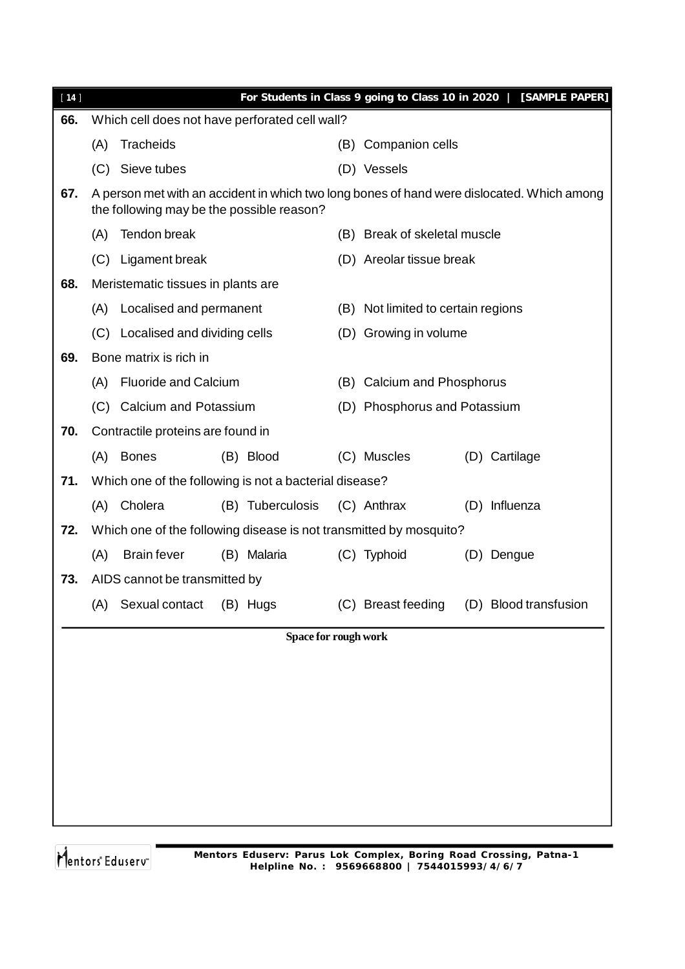| $[14]$ |                                    |                                                                    |  |                      |                                    | For Students in Class 9 going to Class 10 in 2020 |  | [SAMPLE PAPER]                                                                             |  |
|--------|------------------------------------|--------------------------------------------------------------------|--|----------------------|------------------------------------|---------------------------------------------------|--|--------------------------------------------------------------------------------------------|--|
| 66.    |                                    | Which cell does not have perforated cell wall?                     |  |                      |                                    |                                                   |  |                                                                                            |  |
|        | (A)                                | Tracheids                                                          |  |                      | (B).                               | Companion cells                                   |  |                                                                                            |  |
|        | (C)                                | Sieve tubes                                                        |  |                      |                                    | (D) Vessels                                       |  |                                                                                            |  |
| 67.    |                                    | the following may be the possible reason?                          |  |                      |                                    |                                                   |  | A person met with an accident in which two long bones of hand were dislocated. Which among |  |
|        | (A)                                | Tendon break                                                       |  |                      |                                    | (B) Break of skeletal muscle                      |  |                                                                                            |  |
|        |                                    | (C) Ligament break                                                 |  |                      |                                    | (D) Areolar tissue break                          |  |                                                                                            |  |
| 68.    |                                    | Meristematic tissues in plants are                                 |  |                      |                                    |                                                   |  |                                                                                            |  |
|        | Localised and permanent<br>(A)     |                                                                    |  |                      | (B) Not limited to certain regions |                                                   |  |                                                                                            |  |
|        |                                    | (C) Localised and dividing cells                                   |  |                      | (D) Growing in volume              |                                                   |  |                                                                                            |  |
| 69.    |                                    | Bone matrix is rich in                                             |  |                      |                                    |                                                   |  |                                                                                            |  |
|        | <b>Fluoride and Calcium</b><br>(A) |                                                                    |  |                      | (B) Calcium and Phosphorus         |                                                   |  |                                                                                            |  |
|        | (C)                                | Calcium and Potassium                                              |  |                      |                                    | (D) Phosphorus and Potassium                      |  |                                                                                            |  |
| 70.    | Contractile proteins are found in  |                                                                    |  |                      |                                    |                                                   |  |                                                                                            |  |
|        | (A)                                | <b>Bones</b>                                                       |  | (B) Blood            |                                    | (C) Muscles                                       |  | (D) Cartilage                                                                              |  |
| 71.    |                                    | Which one of the following is not a bacterial disease?             |  |                      |                                    |                                                   |  |                                                                                            |  |
|        | (A)                                | Cholera                                                            |  | (B) Tuberculosis     |                                    | (C) Anthrax                                       |  | (D) Influenza                                                                              |  |
| 72.    |                                    | Which one of the following disease is not transmitted by mosquito? |  |                      |                                    |                                                   |  |                                                                                            |  |
|        | (A)                                | <b>Brain fever</b>                                                 |  | (B) Malaria          |                                    | (C) Typhoid                                       |  | (D) Dengue                                                                                 |  |
| 73.    |                                    | AIDS cannot be transmitted by                                      |  |                      |                                    |                                                   |  |                                                                                            |  |
|        | (A)                                | Sexual contact                                                     |  | (B) Hugs             |                                    | (C) Breast feeding                                |  | (D) Blood transfusion                                                                      |  |
|        |                                    |                                                                    |  | Space for rough work |                                    |                                                   |  |                                                                                            |  |
|        |                                    |                                                                    |  |                      |                                    |                                                   |  |                                                                                            |  |
|        |                                    |                                                                    |  |                      |                                    |                                                   |  |                                                                                            |  |
|        |                                    |                                                                    |  |                      |                                    |                                                   |  |                                                                                            |  |
|        |                                    |                                                                    |  |                      |                                    |                                                   |  |                                                                                            |  |
|        |                                    |                                                                    |  |                      |                                    |                                                   |  |                                                                                            |  |
|        |                                    |                                                                    |  |                      |                                    |                                                   |  |                                                                                            |  |
|        |                                    |                                                                    |  |                      |                                    |                                                   |  |                                                                                            |  |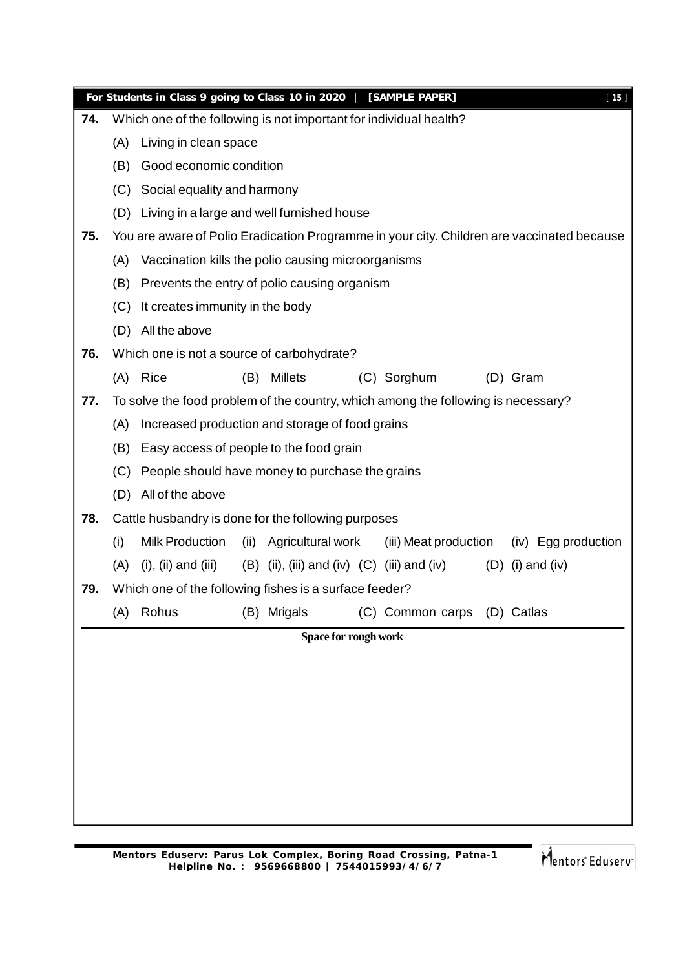|     |     | For Students in Class 9 going to Class 10 in 2020   [SAMPLE PAPER]                |      |                      |  |                                                 |  |                                                                                            | $[15]$ |  |
|-----|-----|-----------------------------------------------------------------------------------|------|----------------------|--|-------------------------------------------------|--|--------------------------------------------------------------------------------------------|--------|--|
| 74. |     | Which one of the following is not important for individual health?                |      |                      |  |                                                 |  |                                                                                            |        |  |
|     | (A) | Living in clean space                                                             |      |                      |  |                                                 |  |                                                                                            |        |  |
|     | (B) | Good economic condition                                                           |      |                      |  |                                                 |  |                                                                                            |        |  |
|     | (C) | Social equality and harmony                                                       |      |                      |  |                                                 |  |                                                                                            |        |  |
|     | (D) | Living in a large and well furnished house                                        |      |                      |  |                                                 |  |                                                                                            |        |  |
| 75. |     |                                                                                   |      |                      |  |                                                 |  | You are aware of Polio Eradication Programme in your city. Children are vaccinated because |        |  |
|     | (A) | Vaccination kills the polio causing microorganisms                                |      |                      |  |                                                 |  |                                                                                            |        |  |
|     | (B) | Prevents the entry of polio causing organism                                      |      |                      |  |                                                 |  |                                                                                            |        |  |
|     | (C) | It creates immunity in the body                                                   |      |                      |  |                                                 |  |                                                                                            |        |  |
|     | (D) | All the above                                                                     |      |                      |  |                                                 |  |                                                                                            |        |  |
| 76. |     | Which one is not a source of carbohydrate?                                        |      |                      |  |                                                 |  |                                                                                            |        |  |
|     | (A) | Rice                                                                              | (B)  | <b>Millets</b>       |  | (C) Sorghum                                     |  | (D) Gram                                                                                   |        |  |
| 77. |     | To solve the food problem of the country, which among the following is necessary? |      |                      |  |                                                 |  |                                                                                            |        |  |
|     | (A) | Increased production and storage of food grains                                   |      |                      |  |                                                 |  |                                                                                            |        |  |
|     | (B) | Easy access of people to the food grain                                           |      |                      |  |                                                 |  |                                                                                            |        |  |
|     | (C) | People should have money to purchase the grains                                   |      |                      |  |                                                 |  |                                                                                            |        |  |
|     | (D) | All of the above                                                                  |      |                      |  |                                                 |  |                                                                                            |        |  |
| 78. |     | Cattle husbandry is done for the following purposes                               |      |                      |  |                                                 |  |                                                                                            |        |  |
|     | (i) | <b>Milk Production</b>                                                            | (ii) | Agricultural work    |  | (iii) Meat production                           |  | (iv) Egg production                                                                        |        |  |
|     | (A) | $(i)$ , $(ii)$ and $(iii)$                                                        |      |                      |  | $(B)$ (ii), (iii) and (iv) $(C)$ (iii) and (iv) |  | $(D)$ (i) and (iv)                                                                         |        |  |
| 79. |     | Which one of the following fishes is a surface feeder?                            |      |                      |  |                                                 |  |                                                                                            |        |  |
|     | (A) | Rohus                                                                             |      | (B) Mrigals          |  | (C) Common carps (D) Catlas                     |  |                                                                                            |        |  |
|     |     |                                                                                   |      | Space for rough work |  |                                                 |  |                                                                                            |        |  |
|     |     |                                                                                   |      |                      |  |                                                 |  |                                                                                            |        |  |
|     |     |                                                                                   |      |                      |  |                                                 |  |                                                                                            |        |  |
|     |     |                                                                                   |      |                      |  |                                                 |  |                                                                                            |        |  |
|     |     |                                                                                   |      |                      |  |                                                 |  |                                                                                            |        |  |
|     |     |                                                                                   |      |                      |  |                                                 |  |                                                                                            |        |  |
|     |     |                                                                                   |      |                      |  |                                                 |  |                                                                                            |        |  |
|     |     |                                                                                   |      |                      |  |                                                 |  |                                                                                            |        |  |
|     |     |                                                                                   |      |                      |  |                                                 |  |                                                                                            |        |  |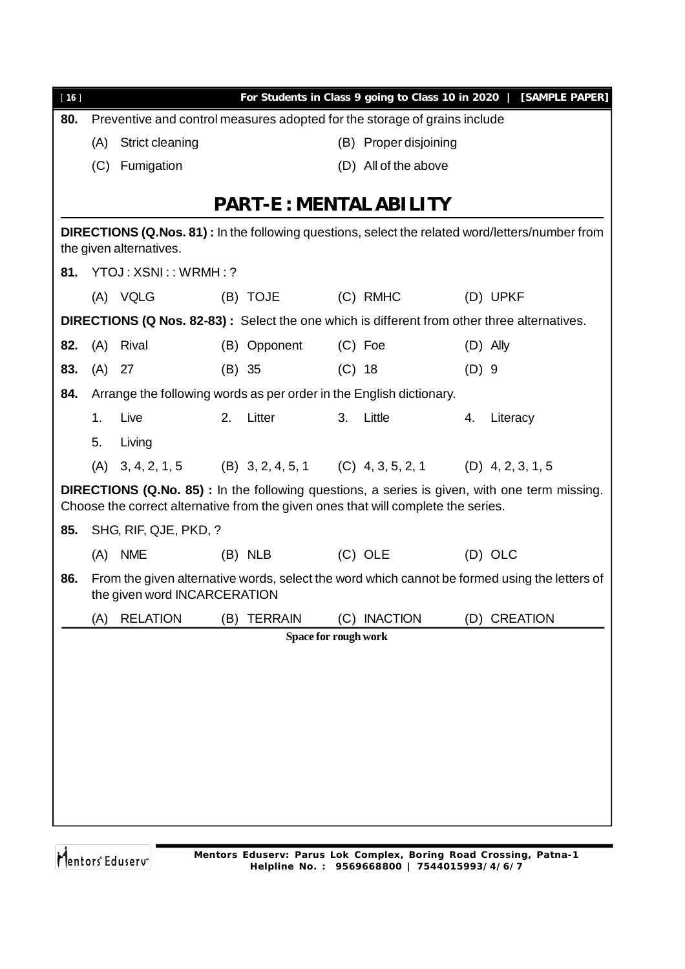| $[16]$ |        |                                                                                   |        |                      |          |                               |         | For Students in Class 9 going to Class 10 in 2020   [SAMPLE PAPER]                                     |
|--------|--------|-----------------------------------------------------------------------------------|--------|----------------------|----------|-------------------------------|---------|--------------------------------------------------------------------------------------------------------|
| 80.    |        | Preventive and control measures adopted for the storage of grains include         |        |                      |          |                               |         |                                                                                                        |
|        | (A)    | Strict cleaning                                                                   |        |                      |          | (B) Proper disjoining         |         |                                                                                                        |
|        | (C)    | Fumigation                                                                        |        |                      |          | (D) All of the above          |         |                                                                                                        |
|        |        |                                                                                   |        |                      |          |                               |         |                                                                                                        |
|        |        |                                                                                   |        |                      |          | <b>PART-E: MENTAL ABILITY</b> |         |                                                                                                        |
|        |        | the given alternatives.                                                           |        |                      |          |                               |         | <b>DIRECTIONS (Q.Nos. 81):</b> In the following questions, select the related word/letters/number from |
|        |        | 81. YTOJ: XSNI:: WRMH:?                                                           |        |                      |          |                               |         |                                                                                                        |
|        |        | (A) VQLG                                                                          |        | (B) TOJE             |          | (C) RMHC                      |         | (D) UPKF                                                                                               |
|        |        |                                                                                   |        |                      |          |                               |         | DIRECTIONS (Q Nos. 82-83): Select the one which is different from other three alternatives.            |
| 82.    |        | (A) Rival                                                                         |        | (B) Opponent         |          | $(C)$ Foe                     |         | $(D)$ Ally                                                                                             |
| 83.    | (A) 27 |                                                                                   | (B) 35 |                      | $(C)$ 18 |                               | $(D)$ 9 |                                                                                                        |
| 84.    |        | Arrange the following words as per order in the English dictionary.               |        |                      |          |                               |         |                                                                                                        |
|        | 1.     | Live                                                                              | 2.     | Litter               | 3.       | Little                        | 4.      | Literacy                                                                                               |
|        | 5.     | Living                                                                            |        |                      |          |                               |         |                                                                                                        |
|        |        | (A) $3, 4, 2, 1, 5$ (B) $3, 2, 4, 5, 1$ (C) $4, 3, 5, 2, 1$ (D) $4, 2, 3, 1, 5$   |        |                      |          |                               |         |                                                                                                        |
|        |        | Choose the correct alternative from the given ones that will complete the series. |        |                      |          |                               |         | <b>DIRECTIONS (Q.No. 85)</b> : In the following questions, a series is given, with one term missing.   |
| 85.    |        | SHG, RIF, QJE, PKD, ?                                                             |        |                      |          |                               |         |                                                                                                        |
|        |        | (A) NME                                                                           |        | $(B)$ NLB            |          | $(C)$ OLE                     |         | (D) OLC                                                                                                |
| 86.    |        | the given word INCARCERATION                                                      |        |                      |          |                               |         | From the given alternative words, select the word which cannot be formed using the letters of          |
|        | (A)    | <b>RELATION</b>                                                                   |        | (B) TERRAIN          |          | (C) INACTION                  |         | (D) CREATION                                                                                           |
|        |        |                                                                                   |        | Space for rough work |          |                               |         |                                                                                                        |
|        |        |                                                                                   |        |                      |          |                               |         |                                                                                                        |
|        |        |                                                                                   |        |                      |          |                               |         |                                                                                                        |
|        |        |                                                                                   |        |                      |          |                               |         |                                                                                                        |
|        |        |                                                                                   |        |                      |          |                               |         |                                                                                                        |
|        |        |                                                                                   |        |                      |          |                               |         |                                                                                                        |
|        |        |                                                                                   |        |                      |          |                               |         |                                                                                                        |
|        |        |                                                                                   |        |                      |          |                               |         |                                                                                                        |
|        |        |                                                                                   |        |                      |          |                               |         |                                                                                                        |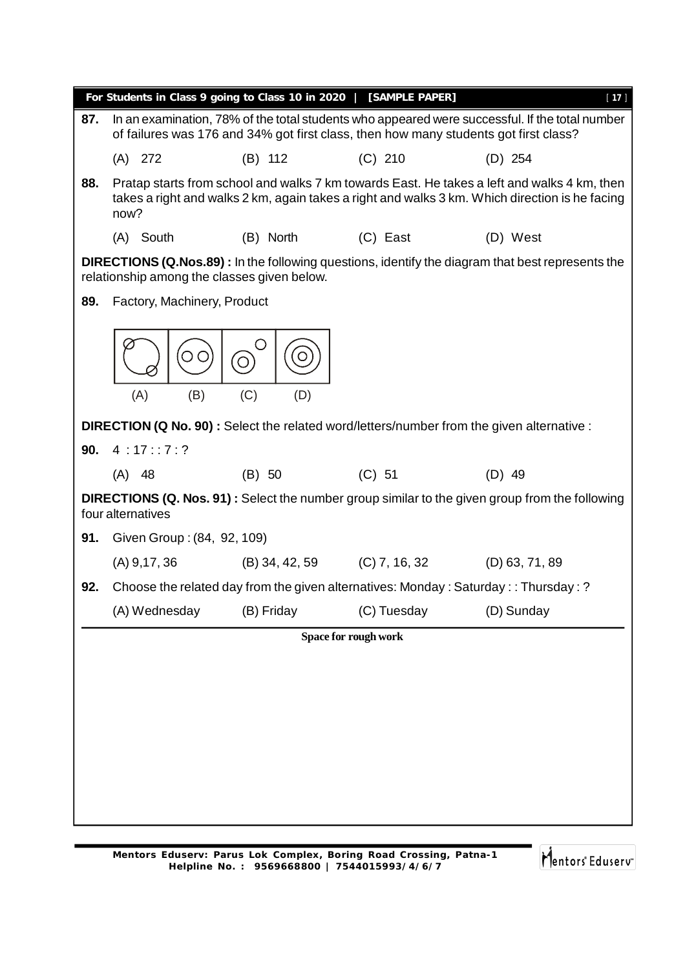|     | For Students in Class 9 going to Class 10 in 2020   [SAMPLE PAPER]                       |            |                                                                                      | $[17]$                                                                                                                                                                                        |
|-----|------------------------------------------------------------------------------------------|------------|--------------------------------------------------------------------------------------|-----------------------------------------------------------------------------------------------------------------------------------------------------------------------------------------------|
| 87. |                                                                                          |            | of failures was 176 and 34% got first class, then how many students got first class? | In an examination, 78% of the total students who appeared were successful. If the total number                                                                                                |
|     | $(A)$ 272                                                                                | $(B)$ 112  | $(C)$ 210                                                                            | $(D)$ 254                                                                                                                                                                                     |
| 88. | now?                                                                                     |            |                                                                                      | Pratap starts from school and walks 7 km towards East. He takes a left and walks 4 km, then<br>takes a right and walks 2 km, again takes a right and walks 3 km. Which direction is he facing |
|     | (A) South                                                                                | (B) North  | (C) East                                                                             | (D) West                                                                                                                                                                                      |
|     | relationship among the classes given below.                                              |            |                                                                                      | <b>DIRECTIONS (Q.Nos.89)</b> : In the following questions, identify the diagram that best represents the                                                                                      |
| 89. | Factory, Machinery, Product                                                              |            |                                                                                      |                                                                                                                                                                                               |
|     | (B)<br>(A)                                                                               | (C)<br>(D) |                                                                                      |                                                                                                                                                                                               |
|     | DIRECTION (Q No. 90): Select the related word/letters/number from the given alternative: |            |                                                                                      |                                                                                                                                                                                               |
| 90. | 4:17:7:?                                                                                 |            |                                                                                      |                                                                                                                                                                                               |
|     | $(A)$ 48                                                                                 | (B) 50     | (C) 51                                                                               | $(D)$ 49                                                                                                                                                                                      |
|     | four alternatives                                                                        |            |                                                                                      | <b>DIRECTIONS (Q. Nos. 91)</b> : Select the number group similar to the given group from the following                                                                                        |
| 91. | Given Group: (84, 92, 109)                                                               |            |                                                                                      |                                                                                                                                                                                               |
|     |                                                                                          |            | (A) 9,17, 36 (B) 34, 42, 59 (C) 7, 16, 32 (D) 63, 71, 89                             |                                                                                                                                                                                               |
| 92. |                                                                                          |            | Choose the related day from the given alternatives: Monday: Saturday: : Thursday: ?  |                                                                                                                                                                                               |
|     | (A) Wednesday                                                                            | (B) Friday | (C) Tuesday                                                                          | (D) Sunday                                                                                                                                                                                    |
|     |                                                                                          |            | Space for rough work                                                                 |                                                                                                                                                                                               |
|     |                                                                                          |            |                                                                                      |                                                                                                                                                                                               |
|     |                                                                                          |            |                                                                                      |                                                                                                                                                                                               |
|     |                                                                                          |            |                                                                                      |                                                                                                                                                                                               |
|     |                                                                                          |            |                                                                                      |                                                                                                                                                                                               |
|     |                                                                                          |            |                                                                                      |                                                                                                                                                                                               |
|     |                                                                                          |            |                                                                                      |                                                                                                                                                                                               |
|     |                                                                                          |            |                                                                                      |                                                                                                                                                                                               |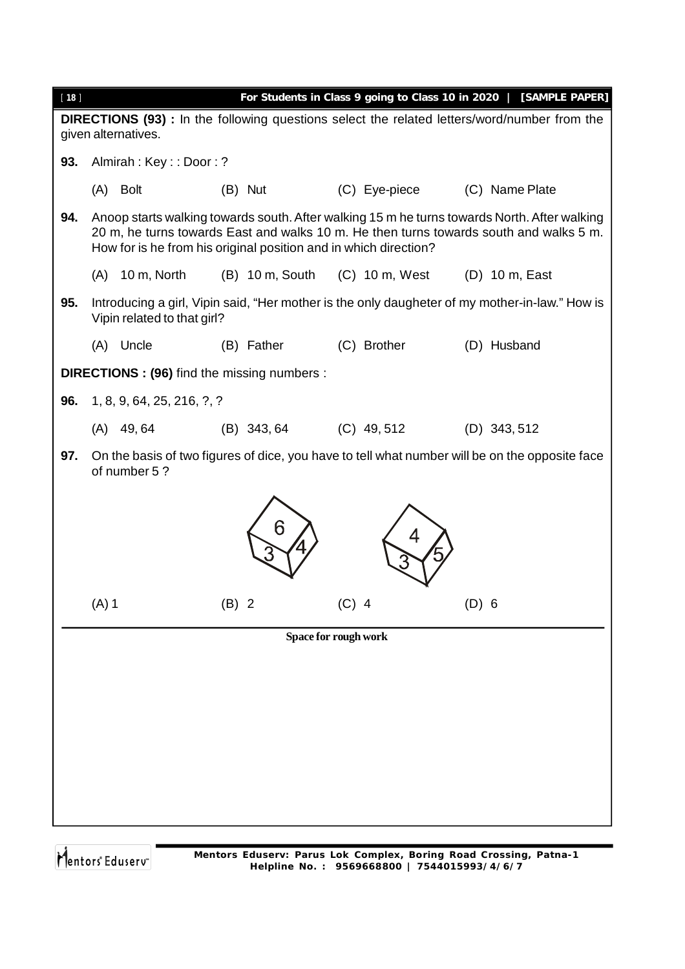| [18] |         |                                                                  |         |                             |         |                  |         | For Students in Class 9 going to Class 10 in 2020   [SAMPLE PAPER]                                                                                                                     |
|------|---------|------------------------------------------------------------------|---------|-----------------------------|---------|------------------|---------|----------------------------------------------------------------------------------------------------------------------------------------------------------------------------------------|
|      |         | given alternatives.                                              |         |                             |         |                  |         | <b>DIRECTIONS (93)</b> : In the following questions select the related letters/word/number from the                                                                                    |
| 93.  |         | Almirah: Key:: Door:?                                            |         |                             |         |                  |         |                                                                                                                                                                                        |
|      | (A)     | <b>Bolt</b>                                                      |         | (B) Nut                     |         | (C) Eye-piece    |         | (C) Name Plate                                                                                                                                                                         |
| 94.  |         | How for is he from his original position and in which direction? |         |                             |         |                  |         | Anoop starts walking towards south. After walking 15 m he turns towards North. After walking<br>20 m, he turns towards East and walks 10 m. He then turns towards south and walks 5 m. |
|      | (A)     | 10 m, North                                                      |         | $(B)$ 10 m, South           |         | $(C)$ 10 m, West |         | (D) 10 m, East                                                                                                                                                                         |
| 95.  |         | Vipin related to that girl?                                      |         |                             |         |                  |         | Introducing a girl, Vipin said, "Her mother is the only daugheter of my mother-in-law." How is                                                                                         |
|      |         | (A) Uncle                                                        |         | (B) Father                  |         | (C) Brother      |         | (D) Husband                                                                                                                                                                            |
|      |         | DIRECTIONS : (96) find the missing numbers :                     |         |                             |         |                  |         |                                                                                                                                                                                        |
| 96.  |         | 1, 8, 9, 64, 25, 216, ?, ?                                       |         |                             |         |                  |         |                                                                                                                                                                                        |
|      |         | $(A)$ 49,64                                                      |         | (B) 343, 64                 |         | $(C)$ 49, 512    |         | $(D)$ 343, 512                                                                                                                                                                         |
| 97.  |         | of number 5?                                                     |         |                             |         |                  |         | On the basis of two figures of dice, you have to tell what number will be on the opposite face                                                                                         |
|      |         |                                                                  |         | 6                           |         |                  |         |                                                                                                                                                                                        |
|      | $(A)$ 1 |                                                                  | $(B)$ 2 |                             | $(C)$ 4 |                  | $(D)$ 6 |                                                                                                                                                                                        |
|      |         |                                                                  |         | <b>Space for rough work</b> |         |                  |         |                                                                                                                                                                                        |
|      |         |                                                                  |         |                             |         |                  |         |                                                                                                                                                                                        |
|      |         |                                                                  |         |                             |         |                  |         |                                                                                                                                                                                        |
|      |         |                                                                  |         |                             |         |                  |         |                                                                                                                                                                                        |
|      |         |                                                                  |         |                             |         |                  |         |                                                                                                                                                                                        |
|      |         |                                                                  |         |                             |         |                  |         |                                                                                                                                                                                        |
|      |         |                                                                  |         |                             |         |                  |         |                                                                                                                                                                                        |
|      |         |                                                                  |         |                             |         |                  |         |                                                                                                                                                                                        |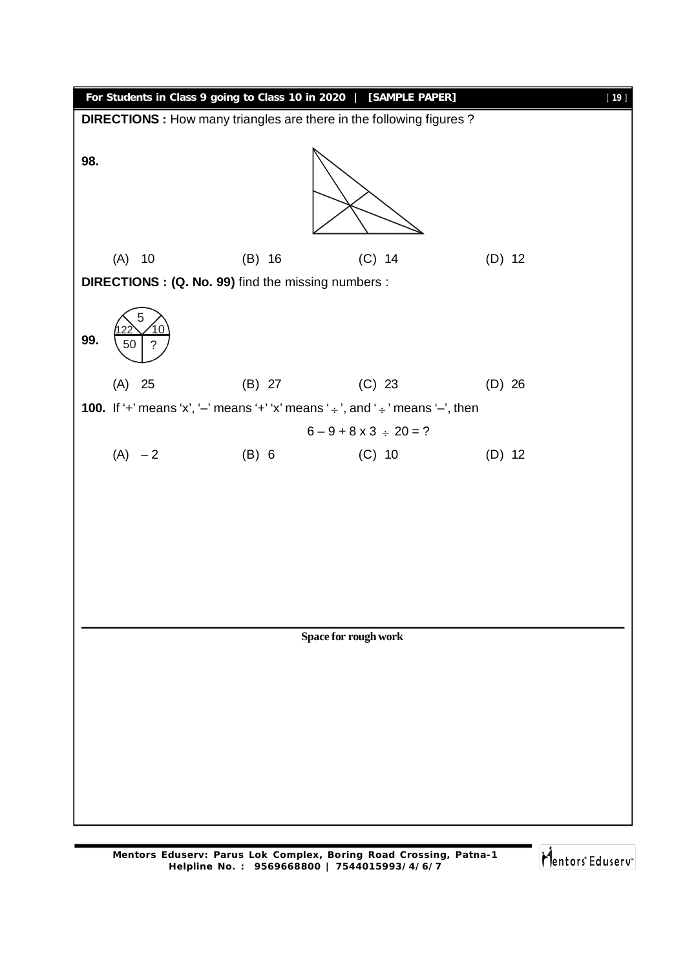